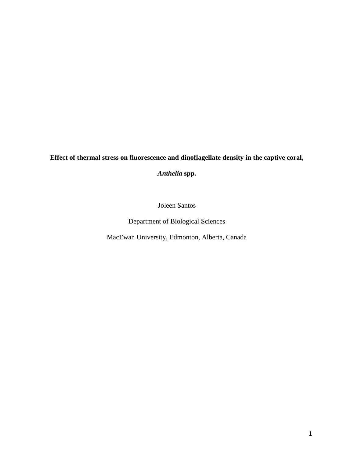# **Effect of thermal stress on fluorescence and dinoflagellate density in the captive coral,**

*Anthelia* **spp.**

Joleen Santos

Department of Biological Sciences

MacEwan University, Edmonton, Alberta, Canada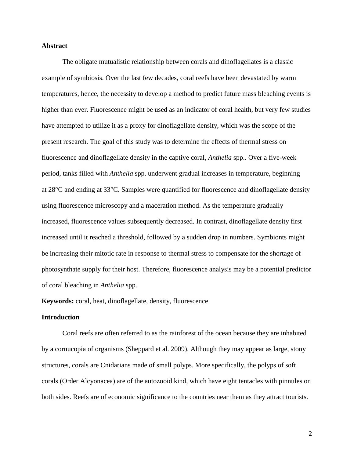#### **Abstract**

 The obligate mutualistic relationship between corals and dinoflagellates is a classic example of symbiosis. Over the last few decades, coral reefs have been devastated by warm temperatures, hence, the necessity to develop a method to predict future mass bleaching events is higher than ever. Fluorescence might be used as an indicator of coral health, but very few studies have attempted to utilize it as a proxy for dinoflagellate density, which was the scope of the present research. The goal of this study was to determine the effects of thermal stress on fluorescence and dinoflagellate density in the captive coral, *Anthelia* spp.. Over a five-week period, tanks filled with *Anthelia* spp. underwent gradual increases in temperature, beginning at 28°C and ending at 33°C. Samples were quantified for fluorescence and dinoflagellate density using fluorescence microscopy and a maceration method. As the temperature gradually increased, fluorescence values subsequently decreased. In contrast, dinoflagellate density first increased until it reached a threshold, followed by a sudden drop in numbers. Symbionts might be increasing their mitotic rate in response to thermal stress to compensate for the shortage of photosynthate supply for their host. Therefore, fluorescence analysis may be a potential predictor of coral bleaching in *Anthelia* spp..

**Keywords:** coral, heat, dinoflagellate, density, fluorescence

#### **Introduction**

Coral reefs are often referred to as the rainforest of the ocean because they are inhabited by a cornucopia of organisms (Sheppard et al. 2009). Although they may appear as large, stony structures, corals are Cnidarians made of small polyps. More specifically, the polyps of soft corals (Order Alcyonacea) are of the autozooid kind, which have eight tentacles with pinnules on both sides. Reefs are of economic significance to the countries near them as they attract tourists.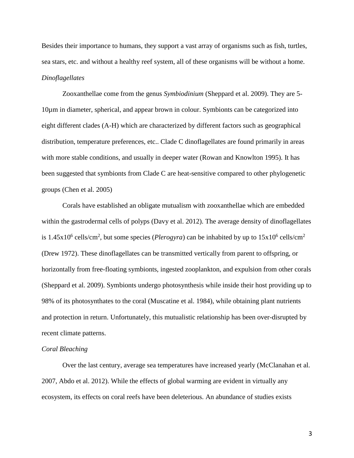Besides their importance to humans, they support a vast array of organisms such as fish, turtles, sea stars, etc. and without a healthy reef system, all of these organisms will be without a home. *Dinoflagellates*

Zooxanthellae come from the genus *Symbiodinium* (Sheppard et al. 2009). They are 5- 10µm in diameter, spherical, and appear brown in colour. Symbionts can be categorized into eight different clades (A-H) which are characterized by different factors such as geographical distribution, temperature preferences, etc.. Clade C dinoflagellates are found primarily in areas with more stable conditions, and usually in deeper water (Rowan and Knowlton 1995). It has been suggested that symbionts from Clade C are heat-sensitive compared to other phylogenetic groups (Chen et al. 2005)

Corals have established an obligate mutualism with zooxanthellae which are embedded within the gastrodermal cells of polyps (Davy et al. 2012). The average density of dinoflagellates is  $1.45x10^6$  cells/cm<sup>2</sup>, but some species (*Plerogyra*) can be inhabited by up to  $15x10^6$  cells/cm<sup>2</sup> (Drew 1972). These dinoflagellates can be transmitted vertically from parent to offspring, or horizontally from free-floating symbionts, ingested zooplankton, and expulsion from other corals (Sheppard et al. 2009). Symbionts undergo photosynthesis while inside their host providing up to 98% of its photosynthates to the coral (Muscatine et al. 1984), while obtaining plant nutrients and protection in return. Unfortunately, this mutualistic relationship has been over-disrupted by recent climate patterns.

#### *Coral Bleaching*

Over the last century, average sea temperatures have increased yearly (McClanahan et al. 2007, Abdo et al. 2012). While the effects of global warming are evident in virtually any ecosystem, its effects on coral reefs have been deleterious. An abundance of studies exists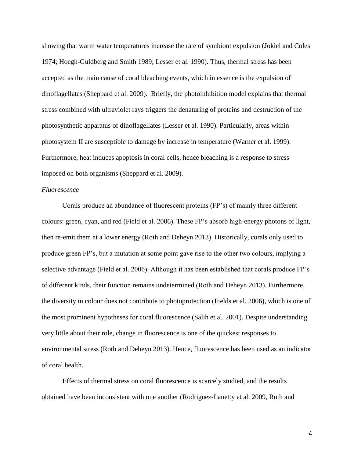showing that warm water temperatures increase the rate of symbiont expulsion (Jokiel and Coles 1974; Hoegh-Guldberg and Smith 1989; Lesser et al. 1990). Thus, thermal stress has been accepted as the main cause of coral bleaching events, which in essence is the expulsion of dinoflagellates (Sheppard et al. 2009). Briefly, the photoinhibition model explains that thermal stress combined with ultraviolet rays triggers the denaturing of proteins and destruction of the photosynthetic apparatus of dinoflagellates (Lesser et al. 1990). Particularly, areas within photosystem II are susceptible to damage by increase in temperature (Warner et al. 1999). Furthermore, heat induces apoptosis in coral cells, hence bleaching is a response to stress imposed on both organisms (Sheppard et al. 2009).

#### *Fluorescence*

Corals produce an abundance of fluorescent proteins (FP's) of mainly three different colours: green, cyan, and red (Field et al. 2006). These FP's absorb high-energy photons of light, then re-emit them at a lower energy (Roth and Deheyn 2013). Historically, corals only used to produce green FP's, but a mutation at some point gave rise to the other two colours, implying a selective advantage (Field et al. 2006). Although it has been established that corals produce FP's of different kinds, their function remains undetermined (Roth and Deheyn 2013). Furthermore, the diversity in colour does not contribute to photoprotection (Fields et al. 2006), which is one of the most prominent hypotheses for coral fluorescence (Salih et al. 2001). Despite understanding very little about their role, change in fluorescence is one of the quickest responses to environmental stress (Roth and Deheyn 2013). Hence, fluorescence has been used as an indicator of coral health.

Effects of thermal stress on coral fluorescence is scarcely studied, and the results obtained have been inconsistent with one another (Rodriguez-Lanetty et al. 2009, Roth and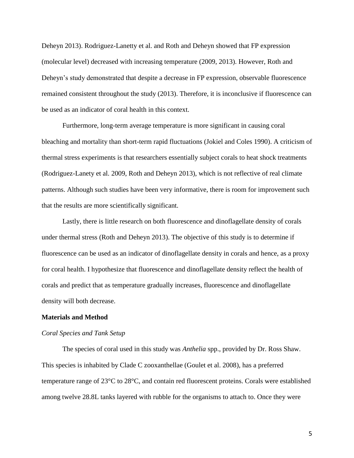Deheyn 2013). Rodriguez-Lanetty et al. and Roth and Deheyn showed that FP expression (molecular level) decreased with increasing temperature (2009, 2013). However, Roth and Deheyn's study demonstrated that despite a decrease in FP expression, observable fluorescence remained consistent throughout the study (2013). Therefore, it is inconclusive if fluorescence can be used as an indicator of coral health in this context.

Furthermore, long-term average temperature is more significant in causing coral bleaching and mortality than short-term rapid fluctuations (Jokiel and Coles 1990). A criticism of thermal stress experiments is that researchers essentially subject corals to heat shock treatments (Rodriguez-Lanety et al. 2009, Roth and Deheyn 2013), which is not reflective of real climate patterns. Although such studies have been very informative, there is room for improvement such that the results are more scientifically significant.

Lastly, there is little research on both fluorescence and dinoflagellate density of corals under thermal stress (Roth and Deheyn 2013). The objective of this study is to determine if fluorescence can be used as an indicator of dinoflagellate density in corals and hence, as a proxy for coral health. I hypothesize that fluorescence and dinoflagellate density reflect the health of corals and predict that as temperature gradually increases, fluorescence and dinoflagellate density will both decrease.

#### **Materials and Method**

#### *Coral Species and Tank Setup*

The species of coral used in this study was *Anthelia* spp., provided by Dr. Ross Shaw. This species is inhabited by Clade C zooxanthellae (Goulet et al. 2008), has a preferred temperature range of 23°C to 28°C, and contain red fluorescent proteins. Corals were established among twelve 28.8L tanks layered with rubble for the organisms to attach to. Once they were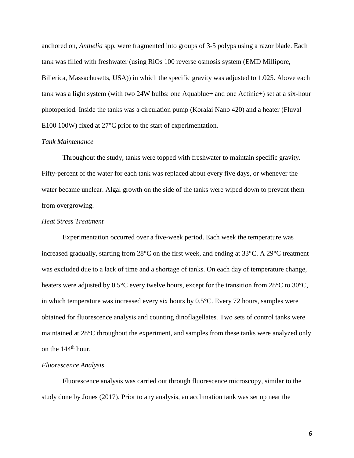anchored on, *Anthelia* spp. were fragmented into groups of 3-5 polyps using a razor blade. Each tank was filled with freshwater (using RiOs 100 reverse osmosis system (EMD Millipore, Billerica, Massachusetts, USA)) in which the specific gravity was adjusted to 1.025. Above each tank was a light system (with two 24W bulbs: one Aquablue+ and one Actinic+) set at a six-hour photoperiod. Inside the tanks was a circulation pump (Koralai Nano 420) and a heater (Fluval E100 100W) fixed at 27°C prior to the start of experimentation.

## *Tank Maintenance*

Throughout the study, tanks were topped with freshwater to maintain specific gravity. Fifty-percent of the water for each tank was replaced about every five days, or whenever the water became unclear. Algal growth on the side of the tanks were wiped down to prevent them from overgrowing.

#### *Heat Stress Treatment*

Experimentation occurred over a five-week period. Each week the temperature was increased gradually, starting from 28°C on the first week, and ending at 33°C. A 29°C treatment was excluded due to a lack of time and a shortage of tanks. On each day of temperature change, heaters were adjusted by  $0.5^{\circ}$ C every twelve hours, except for the transition from 28<sup>°</sup>C to 30<sup>°</sup>C, in which temperature was increased every six hours by 0.5°C. Every 72 hours, samples were obtained for fluorescence analysis and counting dinoflagellates. Two sets of control tanks were maintained at 28°C throughout the experiment, and samples from these tanks were analyzed only on the 144<sup>th</sup> hour.

#### *Fluorescence Analysis*

Fluorescence analysis was carried out through fluorescence microscopy, similar to the study done by Jones (2017). Prior to any analysis, an acclimation tank was set up near the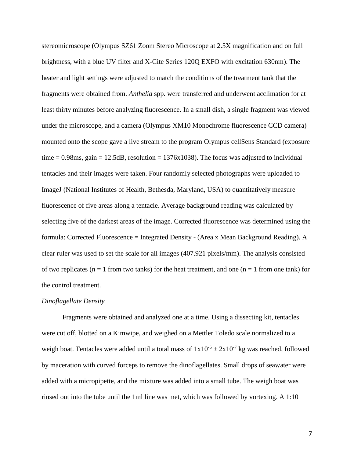stereomicroscope (Olympus SZ61 Zoom Stereo Microscope at 2.5X magnification and on full brightness, with a blue UV filter and X-Cite Series 120Q EXFO with excitation 630nm). The heater and light settings were adjusted to match the conditions of the treatment tank that the fragments were obtained from. *Anthelia* spp. were transferred and underwent acclimation for at least thirty minutes before analyzing fluorescence. In a small dish, a single fragment was viewed under the microscope, and a camera (Olympus XM10 Monochrome fluorescence CCD camera) mounted onto the scope gave a live stream to the program Olympus cellSens Standard (exposure time  $= 0.98$ ms, gain  $= 12.5$ dB, resolution  $= 1376 \times 1038$ ). The focus was adjusted to individual tentacles and their images were taken. Four randomly selected photographs were uploaded to ImageJ (National Institutes of Health, Bethesda, Maryland, USA) to quantitatively measure fluorescence of five areas along a tentacle. Average background reading was calculated by selecting five of the darkest areas of the image. Corrected fluorescence was determined using the formula: Corrected Fluorescence = Integrated Density - (Area x Mean Background Reading). A clear ruler was used to set the scale for all images (407.921 pixels/mm). The analysis consisted of two replicates ( $n = 1$  from two tanks) for the heat treatment, and one ( $n = 1$  from one tank) for the control treatment.

#### *Dinoflagellate Density*

Fragments were obtained and analyzed one at a time. Using a dissecting kit, tentacles were cut off, blotted on a Kimwipe, and weighed on a Mettler Toledo scale normalized to a weigh boat. Tentacles were added until a total mass of  $1x10^{-5} \pm 2x10^{-7}$  kg was reached, followed by maceration with curved forceps to remove the dinoflagellates. Small drops of seawater were added with a micropipette, and the mixture was added into a small tube. The weigh boat was rinsed out into the tube until the 1ml line was met, which was followed by vortexing. A 1:10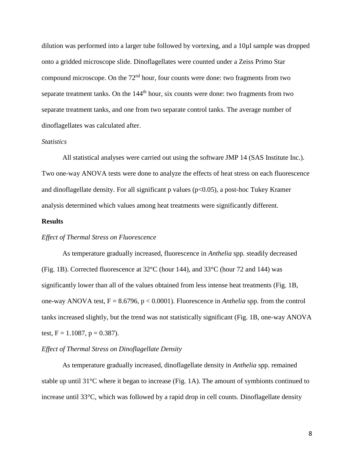dilution was performed into a larger tube followed by vortexing, and a 10µl sample was dropped onto a gridded microscope slide. Dinoflagellates were counted under a Zeiss Primo Star compound microscope. On the  $72<sup>nd</sup>$  hour, four counts were done: two fragments from two separate treatment tanks. On the 144<sup>th</sup> hour, six counts were done: two fragments from two separate treatment tanks, and one from two separate control tanks. The average number of dinoflagellates was calculated after.

#### *Statistics*

All statistical analyses were carried out using the software JMP 14 (SAS Institute Inc.). Two one-way ANOVA tests were done to analyze the effects of heat stress on each fluorescence and dinoflagellate density. For all significant p values ( $p<0.05$ ), a post-hoc Tukey Kramer analysis determined which values among heat treatments were significantly different.

#### **Results**

#### *Effect of Thermal Stress on Fluorescence*

As temperature gradually increased, fluorescence in *Anthelia* spp. steadily decreased (Fig. 1B). Corrected fluorescence at 32°C (hour 144), and 33°C (hour 72 and 144) was significantly lower than all of the values obtained from less intense heat treatments (Fig. 1B, one-way ANOVA test, F = 8.6796, p < 0.0001). Fluorescence in *Anthelia* spp. from the control tanks increased slightly, but the trend was not statistically significant (Fig. 1B, one-way ANOVA test,  $F = 1.1087$ ,  $p = 0.387$ ).

### *Effect of Thermal Stress on Dinoflagellate Density*

As temperature gradually increased, dinoflagellate density in *Anthelia* spp. remained stable up until 31°C where it began to increase (Fig. 1A). The amount of symbionts continued to increase until 33°C, which was followed by a rapid drop in cell counts. Dinoflagellate density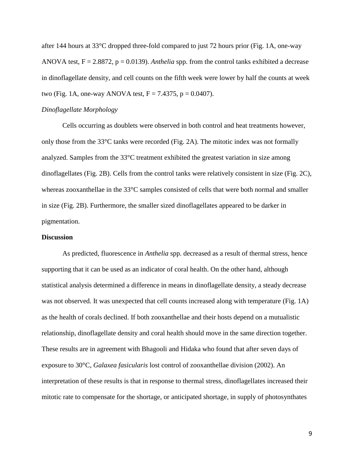after 144 hours at 33°C dropped three-fold compared to just 72 hours prior (Fig. 1A, one-way ANOVA test, F = 2.8872, p = 0.0139). *Anthelia* spp. from the control tanks exhibited a decrease in dinoflagellate density, and cell counts on the fifth week were lower by half the counts at week two (Fig. 1A, one-way ANOVA test,  $F = 7.4375$ ,  $p = 0.0407$ ).

#### *Dinoflagellate Morphology*

Cells occurring as doublets were observed in both control and heat treatments however, only those from the 33°C tanks were recorded (Fig. 2A). The mitotic index was not formally analyzed. Samples from the 33°C treatment exhibited the greatest variation in size among dinoflagellates (Fig. 2B). Cells from the control tanks were relatively consistent in size (Fig. 2C), whereas zooxanthellae in the 33°C samples consisted of cells that were both normal and smaller in size (Fig. 2B). Furthermore, the smaller sized dinoflagellates appeared to be darker in pigmentation.

#### **Discussion**

As predicted, fluorescence in *Anthelia* spp. decreased as a result of thermal stress, hence supporting that it can be used as an indicator of coral health. On the other hand, although statistical analysis determined a difference in means in dinoflagellate density, a steady decrease was not observed. It was unexpected that cell counts increased along with temperature (Fig. 1A) as the health of corals declined. If both zooxanthellae and their hosts depend on a mutualistic relationship, dinoflagellate density and coral health should move in the same direction together. These results are in agreement with Bhagooli and Hidaka who found that after seven days of exposure to 30°C, *Galaxea fasicularis* lost control of zooxanthellae division (2002). An interpretation of these results is that in response to thermal stress, dinoflagellates increased their mitotic rate to compensate for the shortage, or anticipated shortage, in supply of photosynthates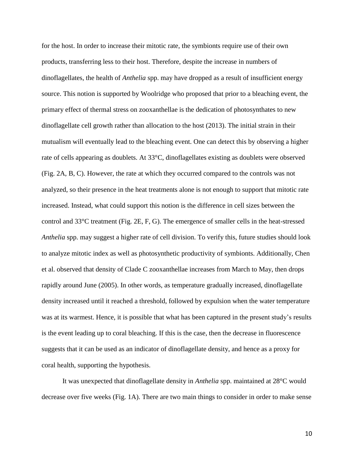for the host. In order to increase their mitotic rate, the symbionts require use of their own products, transferring less to their host. Therefore, despite the increase in numbers of dinoflagellates, the health of *Anthelia* spp. may have dropped as a result of insufficient energy source. This notion is supported by Woolridge who proposed that prior to a bleaching event, the primary effect of thermal stress on zooxanthellae is the dedication of photosynthates to new dinoflagellate cell growth rather than allocation to the host (2013). The initial strain in their mutualism will eventually lead to the bleaching event. One can detect this by observing a higher rate of cells appearing as doublets. At 33°C, dinoflagellates existing as doublets were observed (Fig. 2A, B, C). However, the rate at which they occurred compared to the controls was not analyzed, so their presence in the heat treatments alone is not enough to support that mitotic rate increased. Instead, what could support this notion is the difference in cell sizes between the control and 33°C treatment (Fig. 2E, F, G). The emergence of smaller cells in the heat-stressed *Anthelia* spp. may suggest a higher rate of cell division. To verify this, future studies should look to analyze mitotic index as well as photosynthetic productivity of symbionts. Additionally, Chen et al. observed that density of Clade C zooxanthellae increases from March to May, then drops rapidly around June (2005). In other words, as temperature gradually increased, dinoflagellate density increased until it reached a threshold, followed by expulsion when the water temperature was at its warmest. Hence, it is possible that what has been captured in the present study's results is the event leading up to coral bleaching. If this is the case, then the decrease in fluorescence suggests that it can be used as an indicator of dinoflagellate density, and hence as a proxy for coral health, supporting the hypothesis.

It was unexpected that dinoflagellate density in *Anthelia* spp. maintained at 28°C would decrease over five weeks (Fig. 1A). There are two main things to consider in order to make sense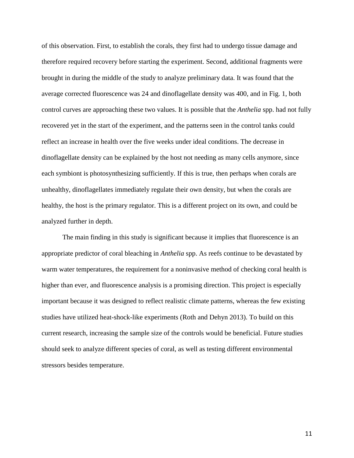of this observation. First, to establish the corals, they first had to undergo tissue damage and therefore required recovery before starting the experiment. Second, additional fragments were brought in during the middle of the study to analyze preliminary data. It was found that the average corrected fluorescence was 24 and dinoflagellate density was 400, and in Fig. 1, both control curves are approaching these two values. It is possible that the *Anthelia* spp. had not fully recovered yet in the start of the experiment, and the patterns seen in the control tanks could reflect an increase in health over the five weeks under ideal conditions. The decrease in dinoflagellate density can be explained by the host not needing as many cells anymore, since each symbiont is photosynthesizing sufficiently. If this is true, then perhaps when corals are unhealthy, dinoflagellates immediately regulate their own density, but when the corals are healthy, the host is the primary regulator. This is a different project on its own, and could be analyzed further in depth.

The main finding in this study is significant because it implies that fluorescence is an appropriate predictor of coral bleaching in *Anthelia* spp. As reefs continue to be devastated by warm water temperatures, the requirement for a noninvasive method of checking coral health is higher than ever, and fluorescence analysis is a promising direction. This project is especially important because it was designed to reflect realistic climate patterns, whereas the few existing studies have utilized heat-shock-like experiments (Roth and Dehyn 2013). To build on this current research, increasing the sample size of the controls would be beneficial. Future studies should seek to analyze different species of coral, as well as testing different environmental stressors besides temperature.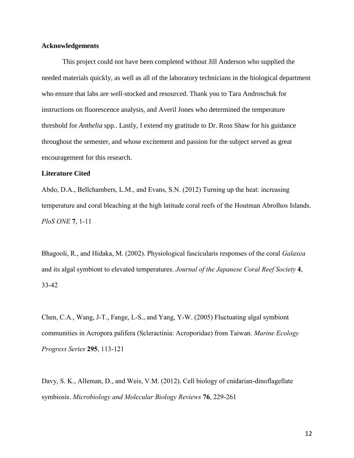## **Acknowledgements**

This project could not have been completed without Jill Anderson who supplied the needed materials quickly, as well as all of the laboratory technicians in the biological department who ensure that labs are well-stocked and resourced. Thank you to Tara Androschuk for instructions on fluorescence analysis, and Averil Jones who determined the temperature threshold for *Anthelia* spp.. Lastly, I extend my gratitude to Dr. Ross Shaw for his guidance throughout the semester, and whose excitement and passion for the subject served as great encouragement for this research.

## **Literature Cited**

Abdo, D.A., Bellchambers, L.M., and Evans, S.N. (2012) Turning up the heat: increasing temperature and coral bleaching at the high latitude coral reefs of the Houtman Abrolhos Islands. *PloS ONE* 7, 1-11

Bhagooli, R., and Hidaka, M. (2002). Physiological fascicularis responses of the coral *Galaxea* and its algal symbiont to elevated temperatures. *Journal of the Japanese Coral Reef Society* 4, 33-42

Chen, C.A., Wang, J-T., Fange, L-S., and Yang, Y-W. (2005) Fluctuating algal symbiont communities in Acropora palifera (Scleractinia: Acroporidae) from Taiwan. *Marine Ecology Progress Series* 295, 113-121

Davy, S. K., Alleman, D., and Weis, V.M. (2012). Cell biology of cnidarian-dinoflagellate symbiosis. *Microbiology and Molecular Biology Reviews* 76, 229-261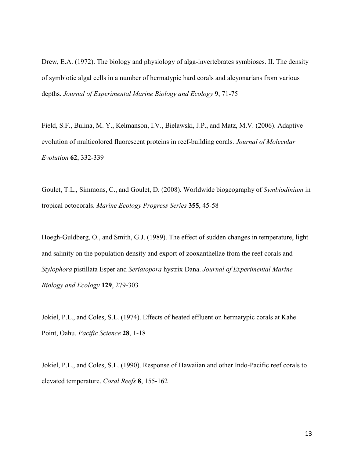Drew, E.A. (1972). The biology and physiology of alga-invertebrates symbioses. II. The density of symbiotic algal cells in a number of hermatypic hard corals and alcyonarians from various depths. *Journal of Experimental Marine Biology and Ecology* 9, 71-75

Field, S.F., Bulina, M. Y., Kelmanson, I.V., Bielawski, J.P., and Matz, M.V. (2006). Adaptive evolution of multicolored fluorescent proteins in reef-building corals. *Journal of Molecular Evolution* 62, 332-339

Goulet, T.L., Simmons, C., and Goulet, D. (2008). Worldwide biogeography of *Symbiodinium* in tropical octocorals. *Marine Ecology Progress Series* 355, 45-58

Hoegh-Guldberg, O., and Smith, G.J. (1989). The effect of sudden changes in temperature, light and salinity on the population density and export of zooxanthellae from the reef corals and *Stylophora* pistillata Esper and *Seriatopora* hystrix Dana. *Journal of Experimental Marine Biology and Ecology* 129, 279-303

Jokiel, P.L., and Coles, S.L. (1974). Effects of heated effluent on hermatypic corals at Kahe Point, Oahu. *Pacific Science* 28, 1-18

Jokiel, P.L., and Coles, S.L. (1990). Response of Hawaiian and other Indo-Pacific reef corals to elevated temperature. *Coral Reefs* 8, 155-162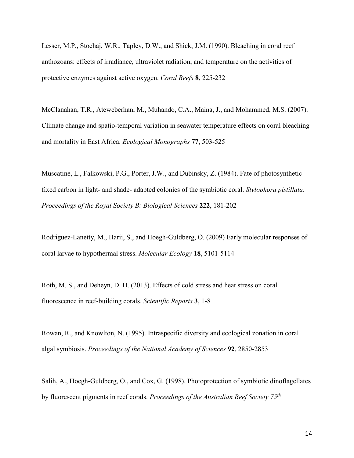Lesser, M.P., Stochaj, W.R., Tapley, D.W., and Shick, J.M. (1990). Bleaching in coral reef anthozoans: effects of irradiance, ultraviolet radiation, and temperature on the activities of protective enzymes against active oxygen. *Coral Reefs* 8, 225-232

McClanahan, T.R., Ateweberhan, M., Muhando, C.A., Maina, J., and Mohammed, M.S. (2007). Climate change and spatio-temporal variation in seawater temperature effects on coral bleaching and mortality in East Africa. *Ecological Monographs* 77, 503-525

Muscatine, L., Falkowski, P.G., Porter, J.W., and Dubinsky, Z. (1984). Fate of photosynthetic fixed carbon in light- and shade- adapted colonies of the symbiotic coral. *Stylophora pistillata*. *Proceedings of the Royal Society B: Biological Sciences* 222, 181-202

Rodriguez-Lanetty, M., Harii, S., and Hoegh-Guldberg, O. (2009) Early molecular responses of coral larvae to hypothermal stress. *Molecular Ecology* 18, 5101-5114

Roth, M. S., and Deheyn, D. D. (2013). Effects of cold stress and heat stress on coral fluorescence in reef-building corals. *Scientific Reports* 3, 1-8

Rowan, R., and Knowlton, N. (1995). Intraspecific diversity and ecological zonation in coral algal symbiosis. *Proceedings of the National Academy of Sciences* 92, 2850-2853

Salih, A., Hoegh-Guldberg, O., and Cox, G. (1998). Photoprotection of symbiotic dinoflagellates by fluorescent pigments in reef corals. *Proceedings of the Australian Reef Society 75th*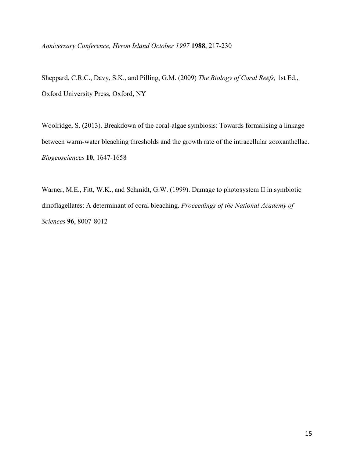*Anniversary Conference, Heron Island October 1997* 1988, 217-230

Sheppard, C.R.C., Davy, S.K., and Pilling, G.M. (2009) *The Biology of Coral Reefs,* 1st Ed., Oxford University Press, Oxford, NY

Woolridge, S. (2013). Breakdown of the coral-algae symbiosis: Towards formalising a linkage between warm-water bleaching thresholds and the growth rate of the intracellular zooxanthellae. *Biogeosciences* 10, 1647-1658

Warner, M.E., Fitt, W.K., and Schmidt, G.W. (1999). Damage to photosystem II in symbiotic dinoflagellates: A determinant of coral bleaching. *Proceedings of the National Academy of Sciences* 96, 8007-8012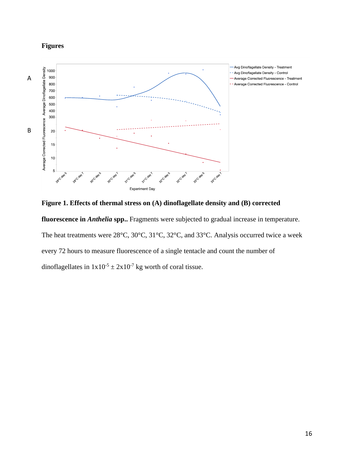## **Figures**



**Figure 1. Effects of thermal stress on (A) dinoflagellate density and (B) corrected** 

**fluorescence in** *Anthelia* **spp..** Fragments were subjected to gradual increase in temperature. The heat treatments were 28°C, 30°C, 31°C, 32°C, and 33°C. Analysis occurred twice a week every 72 hours to measure fluorescence of a single tentacle and count the number of dinoflagellates in  $1x10^{-5} \pm 2x10^{-7}$  kg worth of coral tissue.